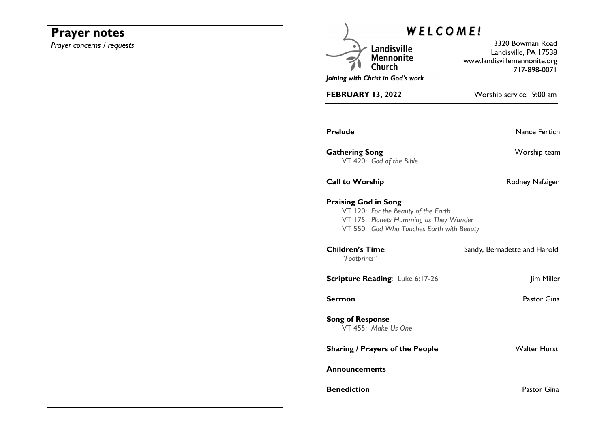## **Prayer notes**

*Prayer concerns / requests* 

| WELCOME!                                                                                                                                                  |                                                                                           |
|-----------------------------------------------------------------------------------------------------------------------------------------------------------|-------------------------------------------------------------------------------------------|
| Landisville<br><b>Mennonite</b><br>Church<br>Joining with Christ in God's work                                                                            | 3320 Bowman Road<br>Landisville, PA 17538<br>www.landisvillemennonite.org<br>717-898-0071 |
| FEBRUARY 13, 2022                                                                                                                                         | Worship service: 9:00 am                                                                  |
| <b>Prelude</b>                                                                                                                                            | Nance Fertich                                                                             |
| <b>Gathering Song</b><br>VT 420: God of the Bible                                                                                                         | Worship team                                                                              |
| <b>Call to Worship</b>                                                                                                                                    | Rodney Nafziger                                                                           |
| <b>Praising God in Song</b><br>VT 120: For the Beauty of the Earth<br>VT 175: Planets Humming as They Wander<br>VT 550: God Who Touches Earth with Beauty |                                                                                           |
| <b>Children's Time</b><br>"Footprints"                                                                                                                    | Sandy, Bernadette and Harold                                                              |
| <b>Scripture Reading: Luke 6:17-26</b>                                                                                                                    | Jim Miller                                                                                |
| Sermon                                                                                                                                                    | Pastor Gina                                                                               |
| <b>Song of Response</b><br>VT 455: Make Us One                                                                                                            |                                                                                           |
| <b>Sharing / Prayers of the People</b>                                                                                                                    | <b>Walter Hurst</b>                                                                       |
| <b>Announcements</b>                                                                                                                                      |                                                                                           |
| <b>Benediction</b>                                                                                                                                        | Pastor Gina                                                                               |